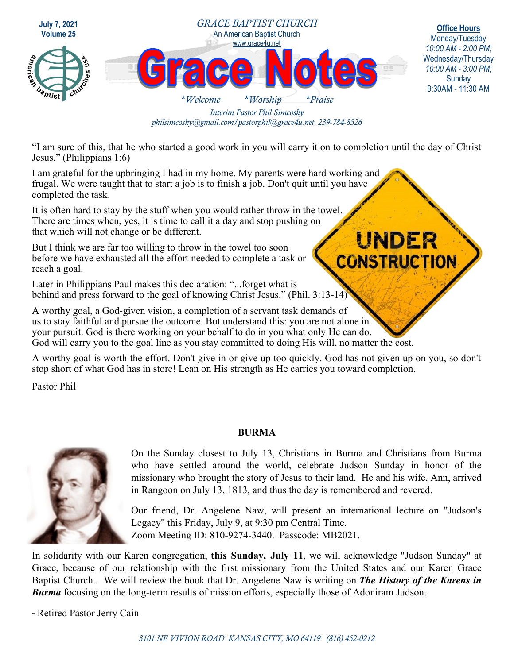

*Interim Pastor Phil Simcosky philsimcosky@gmail.com/pastorphil@grace4u.net 239-784-8526* 

"I am sure of this, that he who started a good work in you will carry it on to completion until the day of Christ Jesus." (Philippians 1:6)

I am grateful for the upbringing I had in my home. My parents were hard working and frugal. We were taught that to start a job is to finish a job. Don't quit until you have completed the task.

It is often hard to stay by the stuff when you would rather throw in the towel. There are times when, yes, it is time to call it a day and stop pushing on that which will not change or be different.

But I think we are far too willing to throw in the towel too soon before we have exhausted all the effort needed to complete a task or reach a goal.

Later in Philippians Paul makes this declaration: "...forget what is behind and press forward to the goal of knowing Christ Jesus." (Phil. 3:13-14)

A worthy goal, a God-given vision, a completion of a servant task demands of us to stay faithful and pursue the outcome. But understand this: you are not alone in your pursuit. God is there working on your behalf to do in you what only He can do. God will carry you to the goal line as you stay committed to doing His will, no matter the cost.

A worthy goal is worth the effort. Don't give in or give up too quickly. God has not given up on you, so don't stop short of what God has in store! Lean on His strength as He carries you toward completion.

Pastor Phil

## **BURMA**



On the Sunday closest to July 13, Christians in Burma and Christians from Burma who have settled around the world, celebrate Judson Sunday in honor of the missionary who brought the story of Jesus to their land. He and his wife, Ann, arrived in Rangoon on July 13, 1813, and thus the day is remembered and revered.

UNDER

**CONSTRUCTION** 

Our friend, Dr. Angelene Naw, will present an international lecture on "Judson's Legacy" this Friday, July 9, at 9:30 pm Central Time. Zoom Meeting ID: 810-9274-3440. Passcode: MB2021.

In solidarity with our Karen congregation, **this Sunday, July 11**, we will acknowledge "Judson Sunday" at Grace, because of our relationship with the first missionary from the United States and our Karen Grace Baptist Church.. We will review the book that Dr. Angelene Naw is writing on *The History of the Karens in Burma* focusing on the long-term results of mission efforts, especially those of Adoniram Judson.

~Retired Pastor Jerry Cain